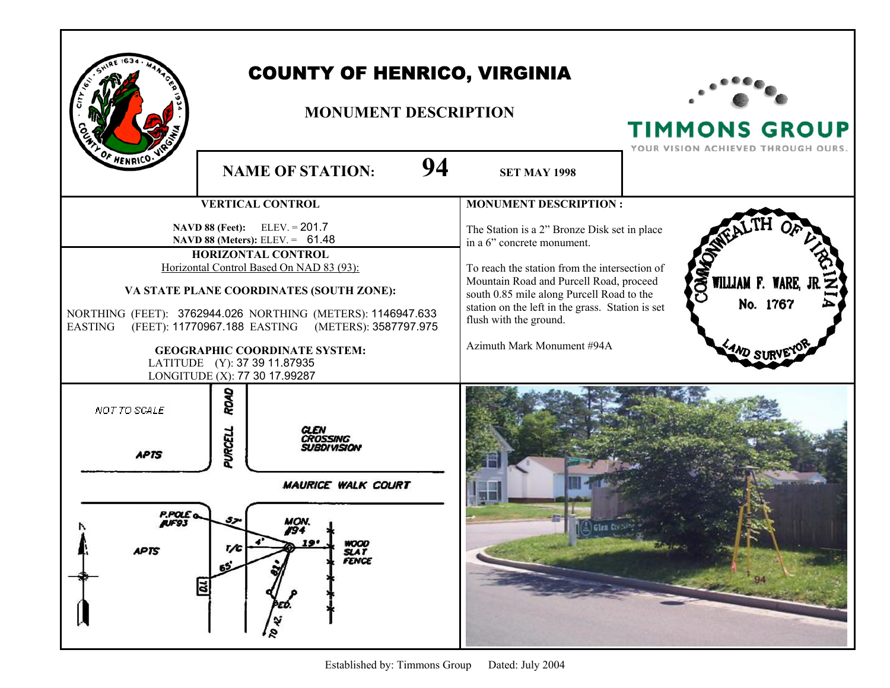|                                                             | <b>COUNTY OF HENRICO, VIRGINIA</b><br><b>MONUMENT DESCRIPTION</b>                                                                                                                                                                                                                                                                                                                                                     |                                                                                                                                                                                                                                                                                                                                 | <b>TIMMONS GROUP</b><br>YOUR VISION ACHIEVED THROUGH OURS. |
|-------------------------------------------------------------|-----------------------------------------------------------------------------------------------------------------------------------------------------------------------------------------------------------------------------------------------------------------------------------------------------------------------------------------------------------------------------------------------------------------------|---------------------------------------------------------------------------------------------------------------------------------------------------------------------------------------------------------------------------------------------------------------------------------------------------------------------------------|------------------------------------------------------------|
| OF HENRICO.                                                 | 94<br><b>NAME OF STATION:</b>                                                                                                                                                                                                                                                                                                                                                                                         | <b>SET MAY 1998</b>                                                                                                                                                                                                                                                                                                             |                                                            |
|                                                             | <b>VERTICAL CONTROL</b>                                                                                                                                                                                                                                                                                                                                                                                               | <b>MONUMENT DESCRIPTION:</b>                                                                                                                                                                                                                                                                                                    |                                                            |
| <b>EASTING</b>                                              | <b>NAVD 88 (Feet):</b> ELEV. = $201.7$<br>NAVD 88 (Meters): ELEV. = 61.48<br>HORIZONTAL CONTROL<br>Horizontal Control Based On NAD 83 (93):<br>VA STATE PLANE COORDINATES (SOUTH ZONE):<br>NORTHING (FEET): 3762944.026 NORTHING (METERS): 1146947.633<br>(FEET): 11770967.188 EASTING (METERS): 3587797.975<br><b>GEOGRAPHIC COORDINATE SYSTEM:</b><br>LATITUDE (Y): 37 39 11.87935<br>LONGITUDE (X): 77 30 17.99287 | The Station is a 2" Bronze Disk set in place<br>in a 6" concrete monument.<br>To reach the station from the intersection of<br>Mountain Road and Purcell Road, proceed<br>south 0.85 mile along Purcell Road to the<br>station on the left in the grass. Station is set<br>flush with the ground.<br>Azimuth Mark Monument #94A | <b>DWO</b><br>WILLIAM F. WARE, JF<br>No. 1767              |
| NOT TO SCALE<br><b>APTS</b><br><b>P.POLE</b><br><b>APTS</b> | ROAD<br>PURCELL<br><b>MAURICE WALK COURT</b><br>ıоn<br>19.<br>WOOD<br>SLAT<br>FENCE<br>T/C<br>ā                                                                                                                                                                                                                                                                                                                       |                                                                                                                                                                                                                                                                                                                                 | <b>Elaite</b> (www.                                        |